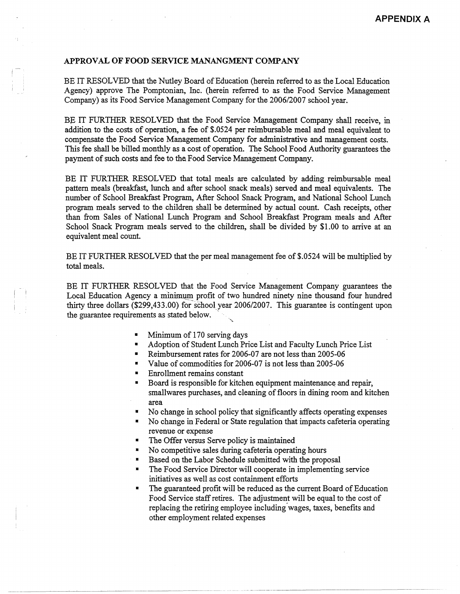## **APPROVAL OF FOOD SERVICE MANANGMENT COMP ANY**

BE IT RESOLVED that the Nutley Board of Education (herein referred to *as* the Local Education Agency) approve The Pomptonian, Inc. (herein referred to as the Food Service Management Company) *as* its Food Service Management Company for the 2006/2007 school year.

BE IT FURTHER RESOLVED that the Food Service Management Company shall receive, in addition to the costs of operation, a fee of \$.0524 per reimbursable meal and meal equivalent to compensate the Food Service Management Company for administrative and management costs. This fee shall be billed monthly as a cost of operation. The School Food Authority guarantees the payment of such costs and fee to the Food Service Management Company.

BE IT FURTHER RESOLVED that total meals are calculated by adding reimbursable meal pattern meals (breakfast, lunch and after school snack meals) served and meal equivalents. The number of School Breakfast Program, After School Snack Program, and National School Lunch program meals served to the children shall be determined by actual count Cash receipts, other than from Sales of National Lunch Program and School Breakfast Program meals and After School Snack Program meals served to the children, shall be divided by \$1.00 to arrive at an equivalent meal count.

BE IT FURTHER RESOLVED that the per meal management fee of \$.0524 will be multiplied by total meals.

BE IT FURTHER RESOLVED that the Food Service Management Company guarantees the Local Education Agency a minimum profit of two hundred ninety nine thousand four hundred thirty three dollars  $(\$299,433.00)$  for school year 2006/2007. This guarantee is contingent upon the guarantee requirements as stated below.

- Minimum of 170 serving days
- Adoption of Student Lunch Price List and Faculty Lunch Price List
- Reimbursement rates for 2006-07 are not less than 2005-06
- Value of commodities for 2006-07 is not less than 2005-06
- Enrollment remains constant
- **•** Board is responsible for kitchen equipment maintenance and repair, smallwares purchases, and cleaning of floors in dining room and kitchen area
- No change in school policy that significantly affects operating expenses
- No change in Federal or State regulation that impacts cafeteria operating revenue or expense
- The Offer versus Serve policy is maintained
- No competitive sales during cafeteria operating hours
- Based on the Labor Schedule submitted with the proposal
- The Food Service Director will cooperate in implementing service initiatives as well *as* cost containment efforts
- The guaranteed profit will be reduced as the current Board of Education Food Service staff retires. The adjustment will be equal to the cost of replacing the retiring employee including.wages, taxes, benefits and other employment related expenses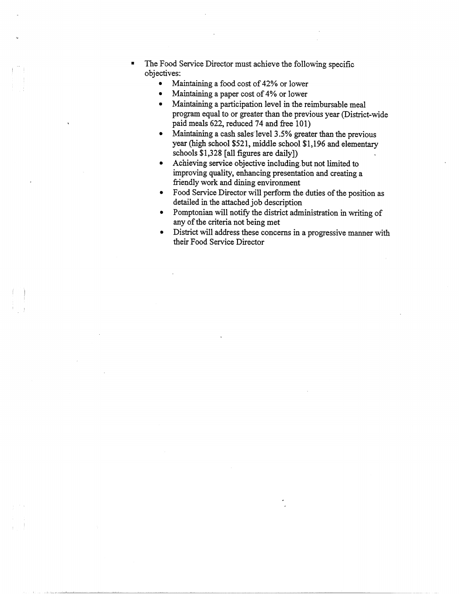- The Food Service Director must achieve the following specific objectives:
	- Maintaining a food cost of 42% or lower
	- Maintaining a paper cost of 4% or lower
	- Maintaining a participation level in the reimbursable meal program equal to or greater than the previous year (District-wide paid meals 622, reduced 74 and free 101)
	- Maintaining a cash sales' level 3.5% greater than the previous year (high school \$521, middle school \$1,196 and elementary schools \$1,328 [all figures are daily])
	- Achieving service objective including.but not limited to improving quality, enhancing presentation and creating a friendly work and dining environment
	- Food Service Director will perform the duties of the position as detailed in the attached job description
	- Pomptonian will notify the district administration in writing of any of the criteria not being met
	- District will address these concerns in a progressive manner with their Food Service Director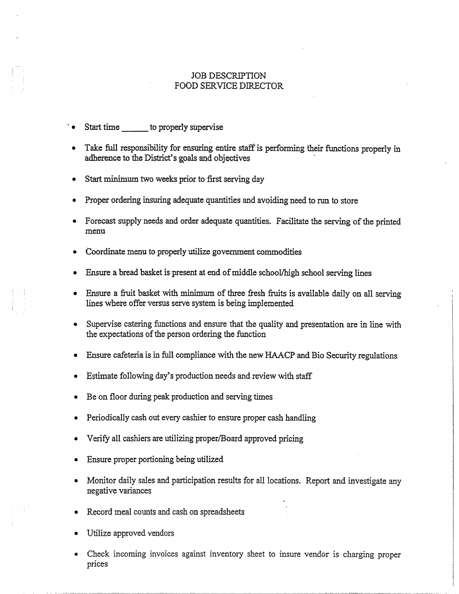## JOB DESCRIPTION FOOD SERVICE DIRECTOR

Start time to properly supervise

,j

- Take full responsibility for ensuring entire staff is performing their functions properly in adherence to the District's goals and objectives
- Start minimum two weeks prior to first serving day
- Proper ordering insuring adequate quantities and avoiding need to run to store
- Forecast supply needs and order adequate quantities. Facilitate the serving of the printed menu
- Coordinate menu to properly utilize government commodities
- Ensure a bread basket is present at end of middle school/high school serving lines
- Ensure a fruit basket with minimum of three fresh fruits is available daily on all serving lines where offer versus serve system is being implemented
- Supervise catering functions and ensure that the quality and presentation are in line with the expectations of the person ordering the function
- Ensure cafeteria is in full compliance with the new HAACP and Bio Security regulations
- Estimate following day's production needs and review with staff
- Be on floor during peak production and serving times
- Periodically cash out every cashier to ensure proper cash handling
- Verify all cashiers are utilizing proper/Board approved pricing
- Ensure proper portioning being utilized
- Monitor daily sales and participation results for all locations. Report and investigate any negative variances
- Record meal counts and cash on spreadsheets
- Utilize approved vendors
- Check incoming invoices against inventory sheet to insure vendor is charging proper prices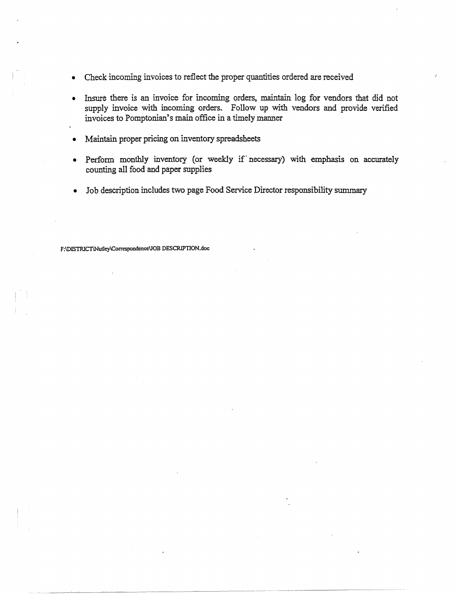- Check incoming invoices to reflect the proper quantities ordered are received
- Insure there is an invoice for incoming orders, maintain log for vendors that did not supply invoice with incoming orders. Follow up with vendors and provide verified invoices to Pomptonian's main office in a timely manner
- Maintain proper pricing on inventory spreadsheets
- Perform monthly inventory (or weekly if necessary) with emphasis on accurately counting all food and paper supplies
- Job description includes two page Food Service Pirector responsibility summary

**F:\DISTRICTINu11ey\Correspondcnce\JOB DESCRIPTION.doc**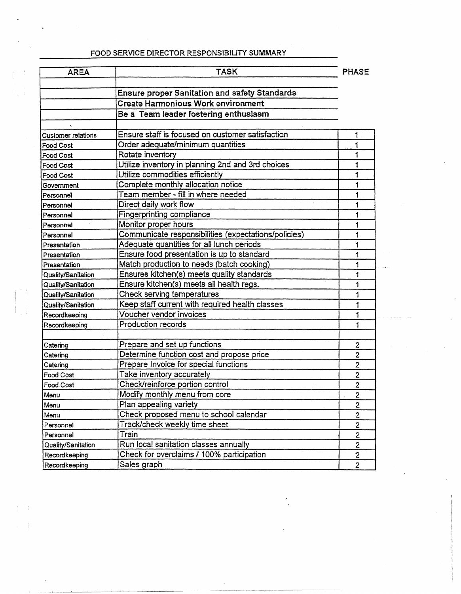## FOOD SERVICE DIRECTOR RESPONSIBILITY SUMMARY

| <b>AREA</b>               | <b>TASK</b>                                          | <b>PHASE</b>            |
|---------------------------|------------------------------------------------------|-------------------------|
|                           | <b>Ensure proper Sanitation and safety Standards</b> |                         |
|                           | <b>Create Harmonious Work environment</b>            |                         |
|                           |                                                      |                         |
|                           | Be a Team leader fostering enthusiasm                |                         |
| <b>Customer relations</b> | Ensure staff is focused on customer satisfaction     | 1                       |
| <b>Food Cost</b>          | Order adequate/minimum quantities                    | 1                       |
| <b>Food Cost</b>          | Rotate inventory                                     | 1                       |
| <b>Food Cost</b>          | Utilize inventory in planning 2nd and 3rd choices    | 1                       |
| Food Cost                 | Utilize commodities efficiently                      | 1                       |
| Government                | Complete monthly allocation notice                   | 1                       |
| Personnell                | Team member - fill in where needed                   | 1                       |
| Personnel                 | Direct daily work flow                               | 1                       |
| Personnel                 | Fingerprinting compliance                            | 1                       |
| Personnel                 | Monitor proper hours                                 | 1                       |
| Personnel                 | Communicate responsibilities (expectations/policies) | 1                       |
| Presentation              | Adequate quantities for all lunch periods            | 1                       |
| Presentation              | Ensure food presentation is up to standard           | 1                       |
| Presentation              | Match production to needs (batch cooking)            | 1                       |
| Quality/Sanitation        | Ensures kitchen(s) meets quality standards           | 1                       |
| Quality/Sanitation        | Ensure kitchen(s) meets all health regs.             | 1                       |
| Quality/Sanitation        | Check serving temperatures                           | 1                       |
| Quality/Sanitation        | Keep staff current with required health classes      | 1                       |
| Recordkeeping             | Voucher vendor invoices                              | 1                       |
| Recordkeeping             | Production records                                   | 1                       |
| Catering                  | Prepare and set up functions                         | $\overline{2}$          |
| Catering                  | Determine function cost and propose price            | $\overline{2}$          |
| Catering                  | Prepare Invoice for special functions                | $\overline{c}$          |
| Food Cost                 | Take inventory accurately                            | 2                       |
| Food Cost                 | Check/reinforce portion control                      | $\overline{2}$          |
| Menu                      | Modify monthly menu from core                        | $\overline{2}$          |
| Menu                      | Plan appealing variety                               | $\mathbf{2}$            |
| Menu                      | Check proposed menu to school calendar               | $\overline{2}$          |
| Personnel                 | Track/check weekly time sheet                        | $\overline{2}$          |
| Personnel                 | Train                                                | 2                       |
| Quality/Sanitation        | Run local sanitation classes annually                | $\overline{\mathbf{c}}$ |
| Recordkeeping             | Check for overclaims / 100% participation            | $\mathbf{2}$            |
| Recordkeeping             | Sales graph                                          | $\overline{2}$          |